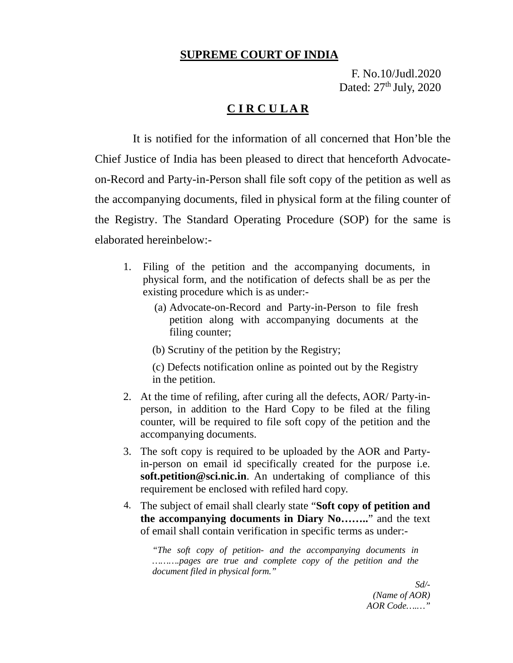## **SUPREME COURT OF INDIA**

F. No.10/Judl.2020 Dated: 27<sup>th</sup> July, 2020

## **C I R C U L A R**

 It is notified for the information of all concerned that Hon'ble the Chief Justice of India has been pleased to direct that henceforth Advocateon-Record and Party-in-Person shall file soft copy of the petition as well as the accompanying documents, filed in physical form at the filing counter of the Registry. The Standard Operating Procedure (SOP) for the same is elaborated hereinbelow:-

- 1. Filing of the petition and the accompanying documents, in physical form, and the notification of defects shall be as per the existing procedure which is as under:-
	- (a) Advocate-on-Record and Party-in-Person to file fresh petition along with accompanying documents at the filing counter;
	- (b) Scrutiny of the petition by the Registry;
	- (c) Defects notification online as pointed out by the Registry in the petition.
- 2. At the time of refiling, after curing all the defects, AOR/ Party-inperson, in addition to the Hard Copy to be filed at the filing counter, will be required to file soft copy of the petition and the accompanying documents.
- 3. The soft copy is required to be uploaded by the AOR and Partyin-person on email id specifically created for the purpose i.e. **soft.petition@sci.nic.in**. An undertaking of compliance of this requirement be enclosed with refiled hard copy.
- 4. The subject of email shall clearly state "**Soft copy of petition and the accompanying documents in Diary No……..**" and the text of email shall contain verification in specific terms as under:-

*"The soft copy of petition- and the accompanying documents in ……….pages are true and complete copy of the petition and the document filed in physical form."*

> *Sd/- (Name of AOR) AOR Code….…"*